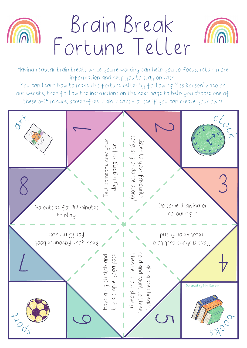



Having regular brain breaks while you're working can help you to focus, retain more information and help you to stay on task.

You can learn how to make this fortune teller by following Miss Robson' video on our website, then follow the instructions on the next page to help you choose one of these 5-15 minute, screen-free brain breaks - or see if you can create your own!